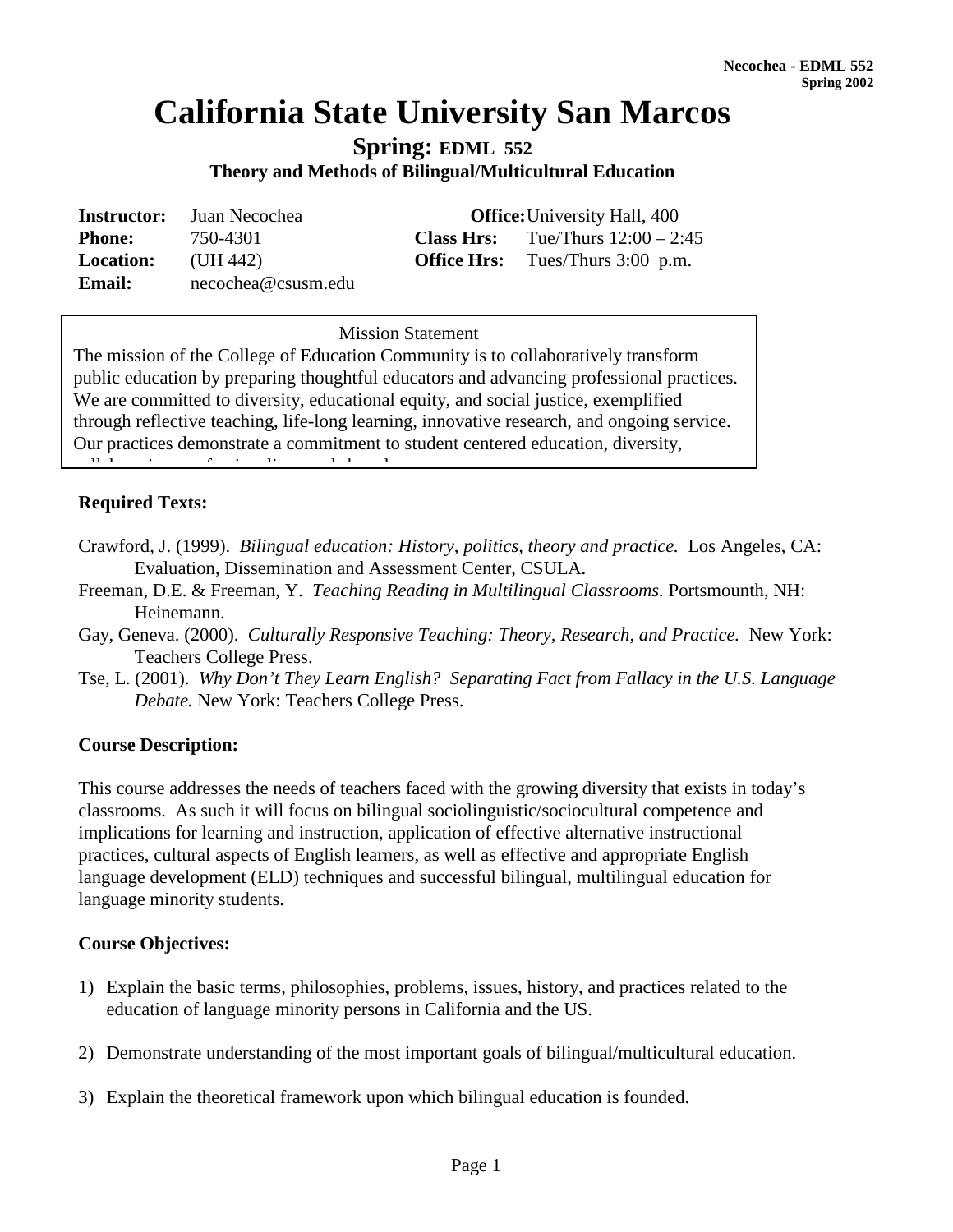# **California State University San Marcos**

**Spring: EDML 552** 

**Theory and Methods of Bilingual/Multicultural Education**

|                  | <b>Instructor:</b> Juan Necochea | <b>Office:</b> University Hall, 400 |                                            |  |
|------------------|----------------------------------|-------------------------------------|--------------------------------------------|--|
| <b>Phone:</b>    | 750-4301                         |                                     | <b>Class Hrs:</b> Tue/Thurs $12:00 - 2:45$ |  |
| <b>Location:</b> | (UH 442)                         |                                     | <b>Office Hrs:</b> Tues/Thurs 3:00 p.m.    |  |
| <b>Email:</b>    | necochea@csusm.edu               |                                     |                                            |  |

# **Mission Statement** Mission Statement

The mission of the College of Education Community is to collaboratively transform public education by preparing thoughtful educators and advancing professional practices. We are committed to diversity, educational equity, and social justice, exemplified through reflective teaching, life-long learning, innovative research, and ongoing service. Our practices demonstrate a commitment to student centered education, diversity,

ll b ti f i li d h d *( d d b* 

# **Required Texts:**

- Crawford, J. (1999). *Bilingual education: History, politics, theory and practice.* Los Angeles, CA: Evaluation, Dissemination and Assessment Center, CSULA.
- Freeman, D.E. & Freeman, Y. *Teaching Reading in Multilingual Classrooms.* Portsmounth, NH: Heinemann.
- Gay, Geneva. (2000). *Culturally Responsive Teaching: Theory, Research, and Practice.* New York: Teachers College Press.
- Tse, L. (2001). *Why Don't They Learn English? Separating Fact from Fallacy in the U.S. Language Debate.* New York: Teachers College Press.

## **Course Description:**

This course addresses the needs of teachers faced with the growing diversity that exists in today's classrooms. As such it will focus on bilingual sociolinguistic/sociocultural competence and implications for learning and instruction, application of effective alternative instructional practices, cultural aspects of English learners, as well as effective and appropriate English language development (ELD) techniques and successful bilingual, multilingual education for language minority students.

## **Course Objectives:**

- 1) Explain the basic terms, philosophies, problems, issues, history, and practices related to the education of language minority persons in California and the US.
- 2) Demonstrate understanding of the most important goals of bilingual/multicultural education.
- 3) Explain the theoretical framework upon which bilingual education is founded.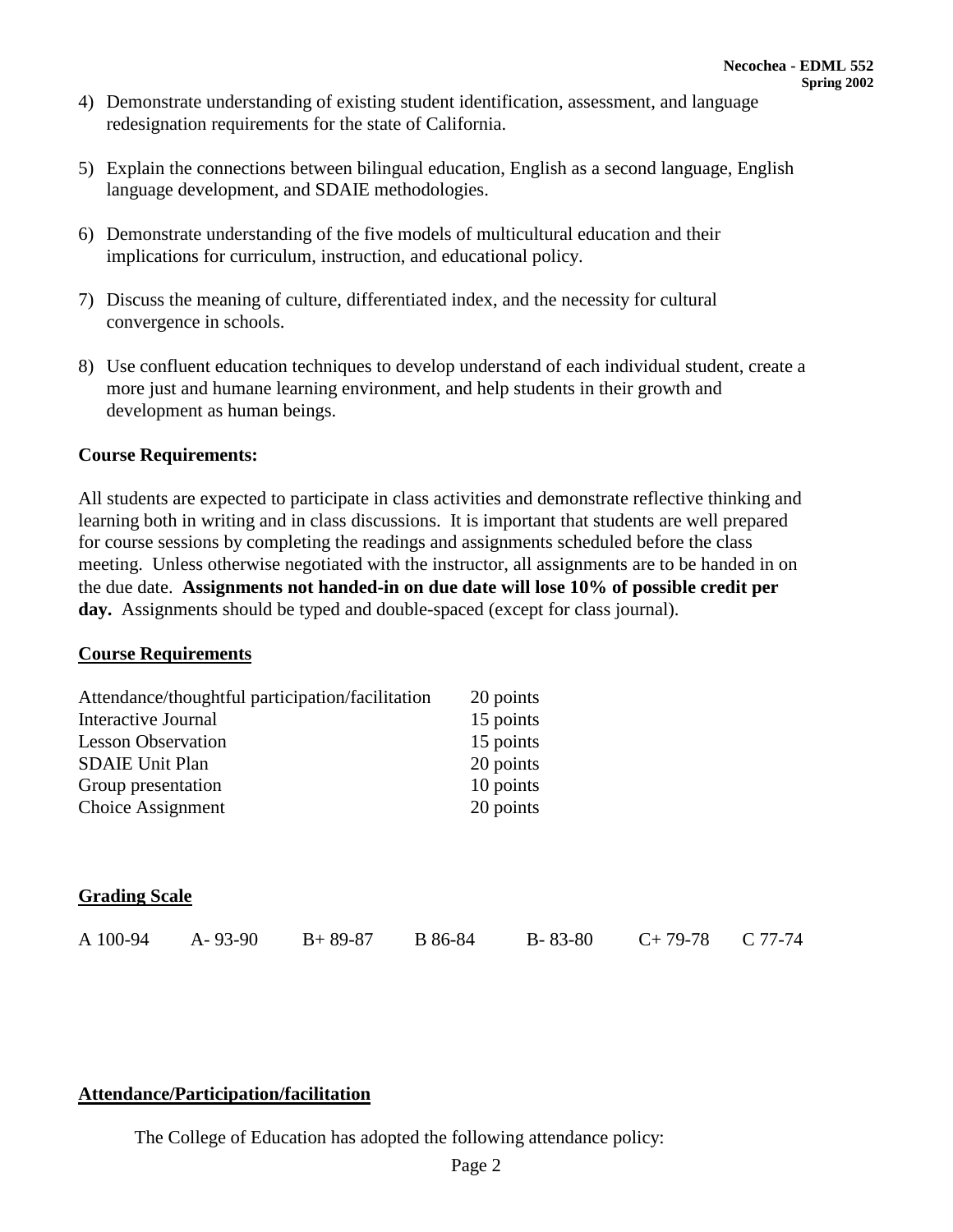- 4) Demonstrate understanding of existing student identification, assessment, and language redesignation requirements for the state of California.
- 5) Explain the connections between bilingual education, English as a second language, English language development, and SDAIE methodologies.
- 6) Demonstrate understanding of the five models of multicultural education and their implications for curriculum, instruction, and educational policy.
- 7) Discuss the meaning of culture, differentiated index, and the necessity for cultural convergence in schools.
- 8) Use confluent education techniques to develop understand of each individual student, create a more just and humane learning environment, and help students in their growth and development as human beings.

#### **Course Requirements:**

All students are expected to participate in class activities and demonstrate reflective thinking and learning both in writing and in class discussions. It is important that students are well prepared for course sessions by completing the readings and assignments scheduled before the class meeting. Unless otherwise negotiated with the instructor, all assignments are to be handed in on the due date. **Assignments not handed-in on due date will lose 10% of possible credit per day.** Assignments should be typed and double-spaced (except for class journal).

#### **Course Requirements**

|                           |               | Attendance/thoughtful participation/facilitation |         | 20 points     |           |           |  |
|---------------------------|---------------|--------------------------------------------------|---------|---------------|-----------|-----------|--|
| Interactive Journal       |               |                                                  |         | 15 points     |           |           |  |
| <b>Lesson Observation</b> |               |                                                  |         | 15 points     |           |           |  |
| <b>SDAIE Unit Plan</b>    |               |                                                  |         | 20 points     |           |           |  |
| Group presentation        |               |                                                  |         | 10 points     |           |           |  |
| Choice Assignment         |               |                                                  |         | 20 points     |           |           |  |
|                           |               |                                                  |         |               |           |           |  |
|                           |               |                                                  |         |               |           |           |  |
| <b>Grading Scale</b>      |               |                                                  |         |               |           |           |  |
| A 100-94                  | $A - 93 - 90$ | $B+89-87$                                        | B 86-84 | $B - 83 - 80$ | $C+79-78$ | $C$ 77-74 |  |

#### **Attendance/Participation/facilitation**

The College of Education has adopted the following attendance policy: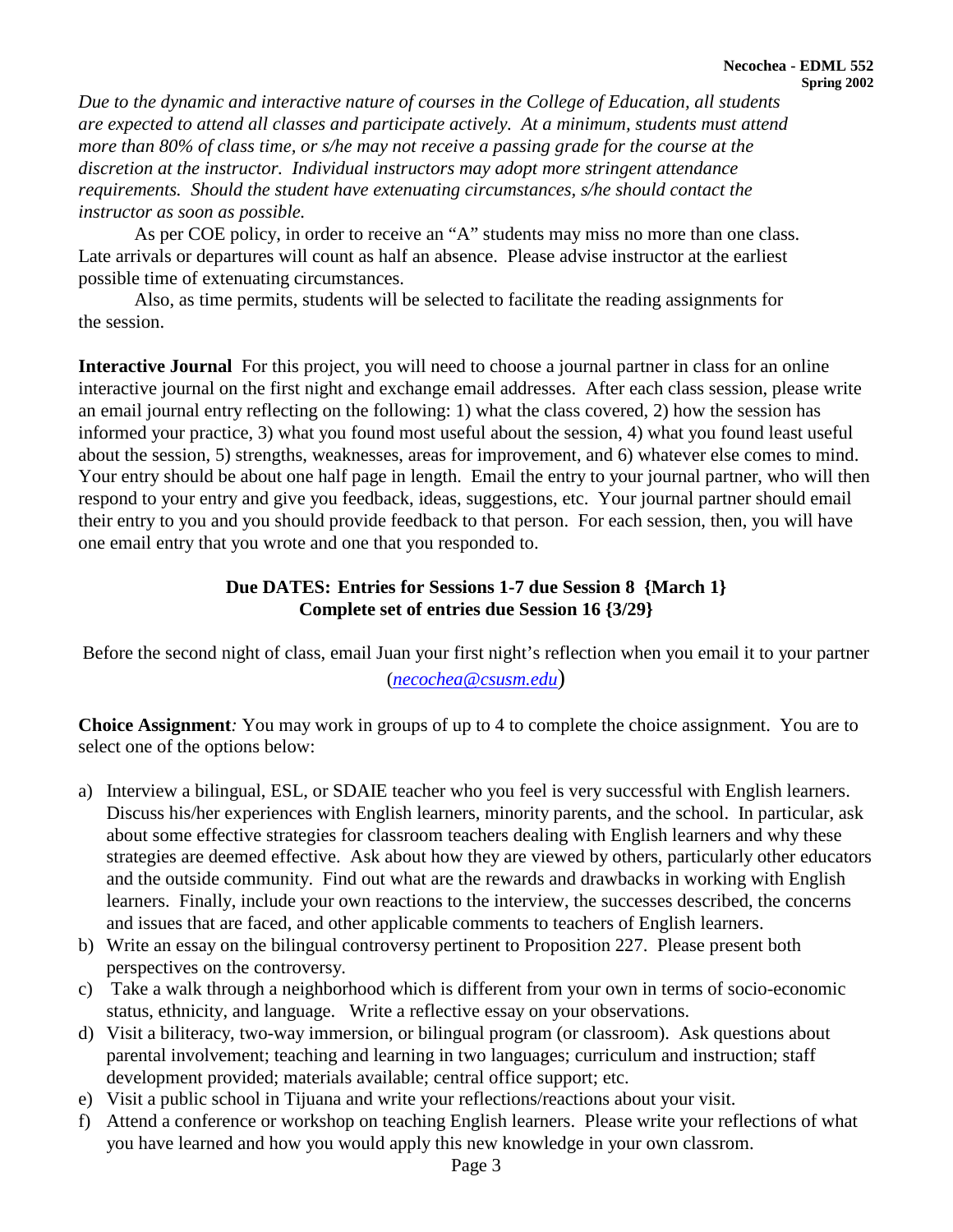*Due to the dynamic and interactive nature of courses in the College of Education, all students are expected to attend all classes and participate actively. At a minimum, students must attend more than 80% of class time, or s/he may not receive a passing grade for the course at the discretion at the instructor. Individual instructors may adopt more stringent attendance requirements. Should the student have extenuating circumstances, s/he should contact the instructor as soon as possible.*

As per COE policy, in order to receive an "A" students may miss no more than one class. Late arrivals or departures will count as half an absence. Please advise instructor at the earliest possible time of extenuating circumstances.

Also, as time permits, students will be selected to facilitate the reading assignments for the session.

**Interactive Journal** For this project, you will need to choose a journal partner in class for an online interactive journal on the first night and exchange email addresses. After each class session, please write an email journal entry reflecting on the following: 1) what the class covered, 2) how the session has informed your practice, 3) what you found most useful about the session, 4) what you found least useful about the session, 5) strengths, weaknesses, areas for improvement, and 6) whatever else comes to mind. Your entry should be about one half page in length. Email the entry to your journal partner, who will then respond to your entry and give you feedback, ideas, suggestions, etc. Your journal partner should email their entry to you and you should provide feedback to that person. For each session, then, you will have one email entry that you wrote and one that you responded to.

# **Due DATES: Entries for Sessions 1-7 due Session 8 {March 1} Complete set of entries due Session 16 {3/29}**

Before the second night of class, email Juan your first night's reflection when you email it to your partner (*[necochea@csusm.edu](mailto:zcline@csusm.edu)*)

**Choice Assignment***:* You may work in groups of up to 4 to complete the choice assignment. You are to select one of the options below:

- a) Interview a bilingual, ESL, or SDAIE teacher who you feel is very successful with English learners. Discuss his/her experiences with English learners, minority parents, and the school. In particular, ask about some effective strategies for classroom teachers dealing with English learners and why these strategies are deemed effective. Ask about how they are viewed by others, particularly other educators and the outside community. Find out what are the rewards and drawbacks in working with English learners. Finally, include your own reactions to the interview, the successes described, the concerns and issues that are faced, and other applicable comments to teachers of English learners.
- b) Write an essay on the bilingual controversy pertinent to Proposition 227. Please present both perspectives on the controversy.
- c) Take a walk through a neighborhood which is different from your own in terms of socio-economic status, ethnicity, and language. Write a reflective essay on your observations.
- d) Visit a biliteracy, two-way immersion, or bilingual program (or classroom). Ask questions about parental involvement; teaching and learning in two languages; curriculum and instruction; staff development provided; materials available; central office support; etc.
- e) Visit a public school in Tijuana and write your reflections/reactions about your visit.
- f) Attend a conference or workshop on teaching English learners. Please write your reflections of what you have learned and how you would apply this new knowledge in your own classrom.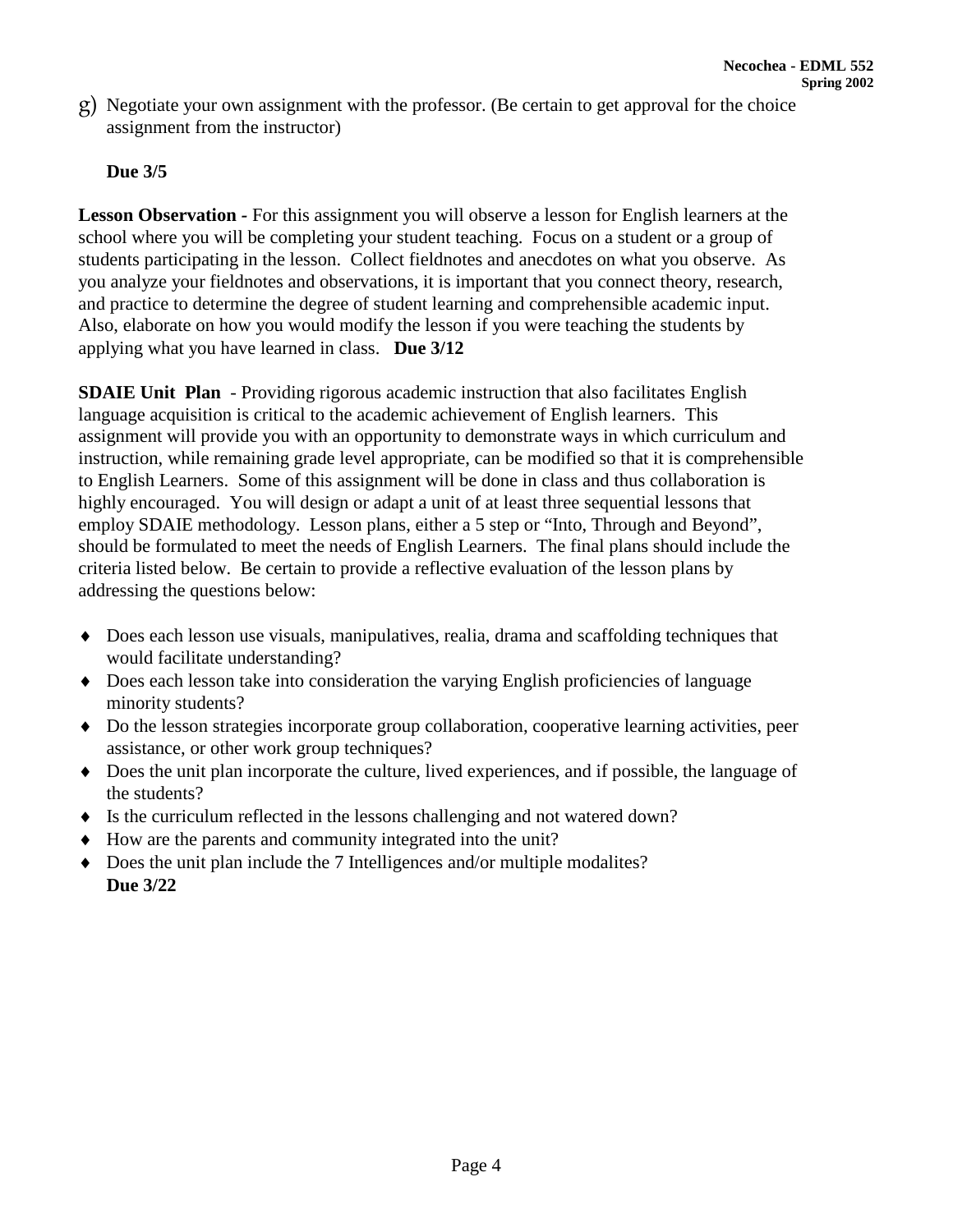g) Negotiate your own assignment with the professor. (Be certain to get approval for the choice assignment from the instructor)

# **Due 3/5**

**Lesson Observation** *-* For this assignment you will observe a lesson for English learners at the school where you will be completing your student teaching. Focus on a student or a group of students participating in the lesson. Collect fieldnotes and anecdotes on what you observe. As you analyze your fieldnotes and observations, it is important that you connect theory, research, and practice to determine the degree of student learning and comprehensible academic input. Also, elaborate on how you would modify the lesson if you were teaching the students by applying what you have learned in class. **Due 3/12**

**SDAIE Unit Plan** - Providing rigorous academic instruction that also facilitates English language acquisition is critical to the academic achievement of English learners. This assignment will provide you with an opportunity to demonstrate ways in which curriculum and instruction, while remaining grade level appropriate, can be modified so that it is comprehensible to English Learners. Some of this assignment will be done in class and thus collaboration is highly encouraged. You will design or adapt a unit of at least three sequential lessons that employ SDAIE methodology. Lesson plans, either a 5 step or "Into, Through and Beyond", should be formulated to meet the needs of English Learners. The final plans should include the criteria listed below. Be certain to provide a reflective evaluation of the lesson plans by addressing the questions below:

- ♦ Does each lesson use visuals, manipulatives, realia, drama and scaffolding techniques that would facilitate understanding?
- ♦ Does each lesson take into consideration the varying English proficiencies of language minority students?
- ♦ Do the lesson strategies incorporate group collaboration, cooperative learning activities, peer assistance, or other work group techniques?
- ♦ Does the unit plan incorporate the culture, lived experiences, and if possible, the language of the students?
- ♦ Is the curriculum reflected in the lessons challenging and not watered down?
- ♦ How are the parents and community integrated into the unit?
- ♦ Does the unit plan include the 7 Intelligences and/or multiple modalites? **Due 3/22**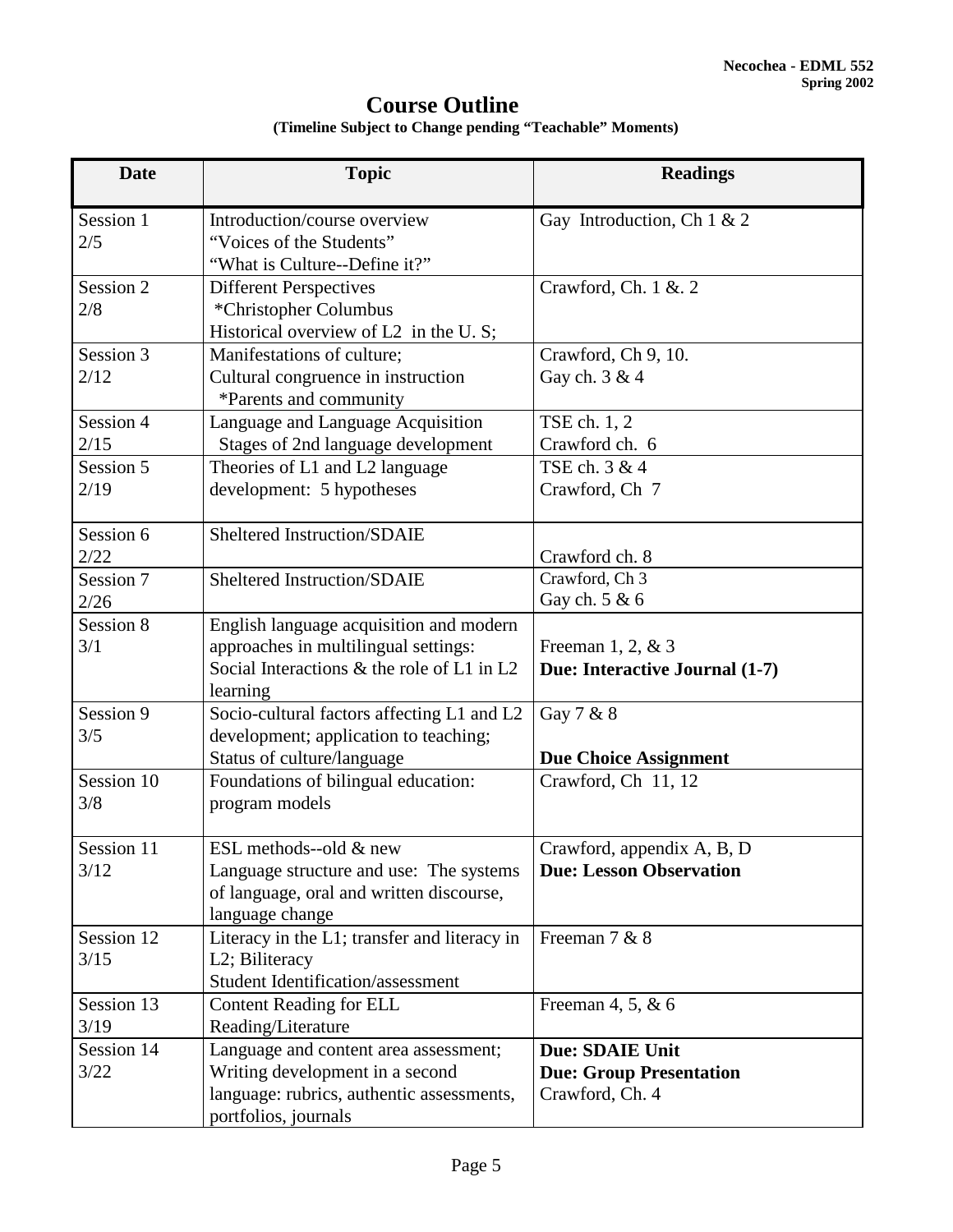# **Course Outline**

| <b>Date</b>        | <b>Topic</b>                                                                                                                                  | <b>Readings</b>                                                             |
|--------------------|-----------------------------------------------------------------------------------------------------------------------------------------------|-----------------------------------------------------------------------------|
| Session 1<br>2/5   | Introduction/course overview<br>"Voices of the Students"<br>"What is Culture--Define it?"                                                     | Gay Introduction, Ch $1 & 2$                                                |
| Session 2<br>2/8   | <b>Different Perspectives</b><br>*Christopher Columbus<br>Historical overview of L2 in the U.S;                                               | Crawford, Ch. 1 & 2                                                         |
| Session 3<br>2/12  | Manifestations of culture;<br>Cultural congruence in instruction<br>*Parents and community                                                    | Crawford, Ch 9, 10.<br>Gay ch. 3 & 4                                        |
| Session 4<br>2/15  | Language and Language Acquisition<br>Stages of 2nd language development                                                                       | TSE ch. 1, 2<br>Crawford ch. 6                                              |
| Session 5<br>2/19  | Theories of L1 and L2 language<br>development: 5 hypotheses                                                                                   | TSE ch. 3 & 4<br>Crawford, Ch 7                                             |
| Session 6<br>2/22  | Sheltered Instruction/SDAIE                                                                                                                   | Crawford ch. 8                                                              |
| Session 7<br>2/26  | Sheltered Instruction/SDAIE                                                                                                                   | Crawford, Ch 3<br>Gay ch. 5 & 6                                             |
| Session 8<br>3/1   | English language acquisition and modern<br>approaches in multilingual settings:<br>Social Interactions & the role of L1 in L2<br>learning     | Freeman $1, 2, \& 3$<br>Due: Interactive Journal (1-7)                      |
| Session 9<br>3/5   | Socio-cultural factors affecting L1 and L2<br>development; application to teaching;                                                           | Gay 7 & 8                                                                   |
| Session 10<br>3/8  | Status of culture/language<br>Foundations of bilingual education:<br>program models                                                           | <b>Due Choice Assignment</b><br>Crawford, Ch 11, 12                         |
| Session 11<br>3/12 | ESL methods--old $&$ new<br>Language structure and use: The systems<br>of language, oral and written discourse,<br>language change            | Crawford, appendix A, B, D<br><b>Due: Lesson Observation</b>                |
| Session 12<br>3/15 | Literacy in the L1; transfer and literacy in<br>L2; Biliteracy<br><b>Student Identification/assessment</b>                                    | Freeman 7 & 8                                                               |
| Session 13<br>3/19 | <b>Content Reading for ELL</b><br>Reading/Literature                                                                                          | Freeman 4, 5, & 6                                                           |
| Session 14<br>3/22 | Language and content area assessment;<br>Writing development in a second<br>language: rubrics, authentic assessments,<br>portfolios, journals | <b>Due: SDAIE Unit</b><br><b>Due: Group Presentation</b><br>Crawford, Ch. 4 |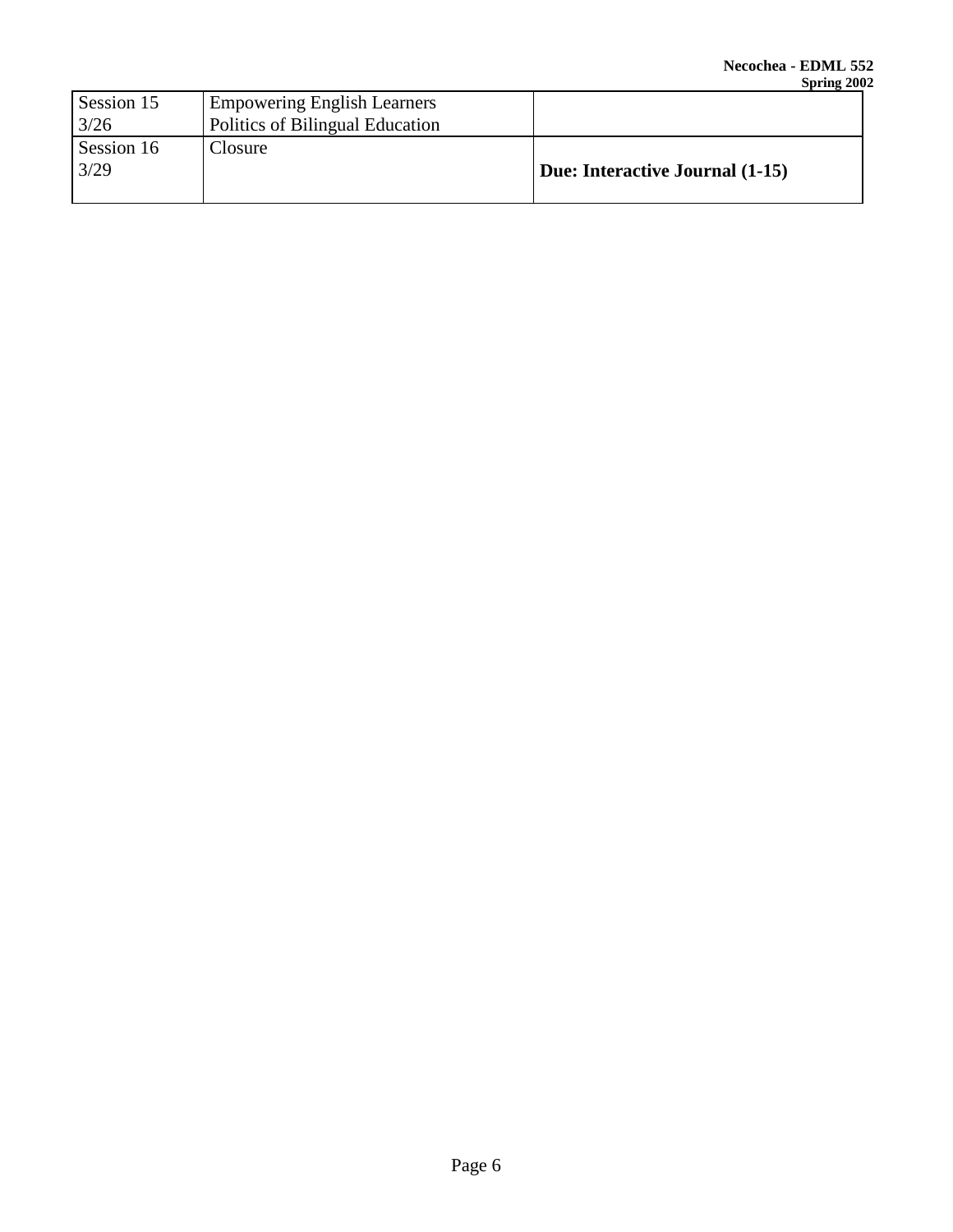|            |                                    | $\sim$ $\sim$ $\sim$ $\sim$     |
|------------|------------------------------------|---------------------------------|
| Session 15 | <b>Empowering English Learners</b> |                                 |
| 3/26       | Politics of Bilingual Education    |                                 |
| Session 16 | Closure                            |                                 |
| 3/29       |                                    | Due: Interactive Journal (1-15) |
|            |                                    |                                 |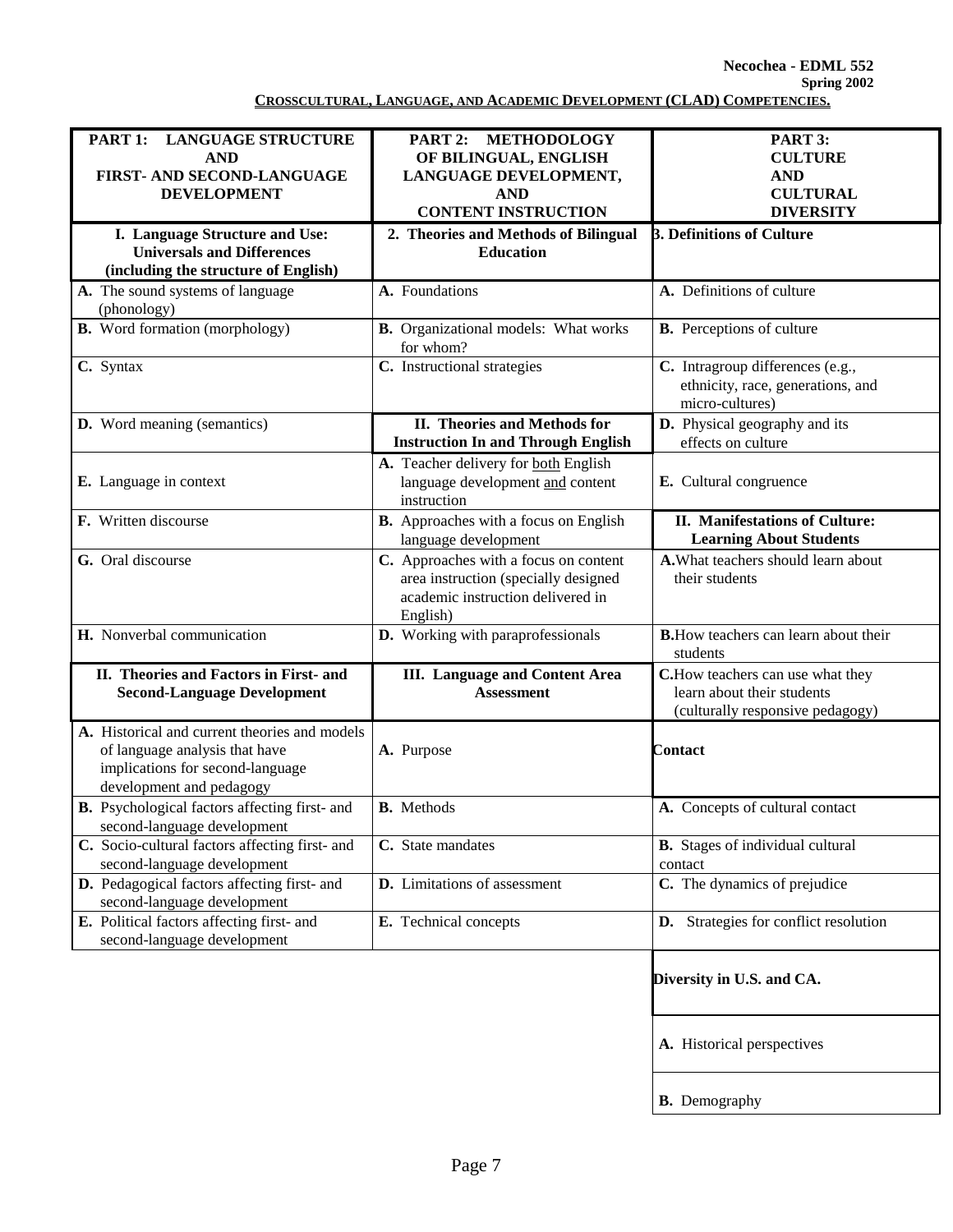**Necochea - EDML 552 Spring 2002 CROSSCULTURAL, LANGUAGE, AND ACADEMIC DEVELOPMENT (CLAD) COMPETENCIES.**

| PART 1:<br><b>LANGUAGE STRUCTURE</b>           | <b>METHODOLOGY</b><br>PART 2:                      | PART 3:                                                                     |
|------------------------------------------------|----------------------------------------------------|-----------------------------------------------------------------------------|
| <b>AND</b>                                     | OF BILINGUAL, ENGLISH                              | <b>CULTURE</b>                                                              |
| FIRST- AND SECOND-LANGUAGE                     | LANGUAGE DEVELOPMENT,                              | <b>AND</b>                                                                  |
| <b>DEVELOPMENT</b>                             | <b>AND</b>                                         | <b>CULTURAL</b>                                                             |
|                                                | <b>CONTENT INSTRUCTION</b>                         | <b>DIVERSITY</b>                                                            |
| I. Language Structure and Use:                 | 2. Theories and Methods of Bilingual               | 3. Definitions of Culture                                                   |
| <b>Universals and Differences</b>              | <b>Education</b>                                   |                                                                             |
| (including the structure of English)           |                                                    |                                                                             |
| A. The sound systems of language               | A. Foundations                                     | A. Definitions of culture                                                   |
| (phonology)                                    |                                                    |                                                                             |
| <b>B.</b> Word formation (morphology)          | <b>B.</b> Organizational models: What works        | <b>B.</b> Perceptions of culture                                            |
|                                                | for whom?                                          |                                                                             |
| C. Syntax                                      | $\overline{\mathbf{C}}$ . Instructional strategies | C. Intragroup differences (e.g.,                                            |
|                                                |                                                    | ethnicity, race, generations, and                                           |
|                                                |                                                    | micro-cultures)                                                             |
| D. Word meaning (semantics)                    | II. Theories and Methods for                       | D. Physical geography and its                                               |
|                                                | <b>Instruction In and Through English</b>          | effects on culture                                                          |
|                                                | A. Teacher delivery for both English               |                                                                             |
| E. Language in context                         | language development and content                   | E. Cultural congruence                                                      |
|                                                | instruction                                        |                                                                             |
| F. Written discourse                           | B. Approaches with a focus on English              | II. Manifestations of Culture:                                              |
|                                                | language development                               | <b>Learning About Students</b>                                              |
| G. Oral discourse                              | C. Approaches with a focus on content              | A. What teachers should learn about                                         |
|                                                | area instruction (specially designed               | their students                                                              |
|                                                | academic instruction delivered in                  |                                                                             |
|                                                | English)                                           |                                                                             |
| H. Nonverbal communication                     | D. Working with paraprofessionals                  | <b>B.</b> How teachers can learn about their                                |
|                                                |                                                    | students                                                                    |
| II. Theories and Factors in First- and         | <b>III.</b> Language and Content Area              | C.How teachers can use what they                                            |
| <b>Second-Language Development</b>             | <b>Assessment</b>                                  | learn about their students                                                  |
|                                                |                                                    |                                                                             |
|                                                |                                                    | (culturally responsive pedagogy)                                            |
| A. Historical and current theories and models  |                                                    |                                                                             |
| of language analysis that have                 | A. Purpose                                         | <b>Contact</b>                                                              |
| implications for second-language               |                                                    |                                                                             |
| development and pedagogy                       |                                                    |                                                                             |
| B. Psychological factors affecting first- and  | <b>B.</b> Methods                                  | A. Concepts of cultural contact                                             |
| second-language development                    |                                                    |                                                                             |
| C. Socio-cultural factors affecting first- and | C. State mandates                                  | B. Stages of individual cultural                                            |
| second-language development                    |                                                    | contact                                                                     |
| D. Pedagogical factors affecting first- and    | D. Limitations of assessment                       | C. The dynamics of prejudice                                                |
| second-language development                    |                                                    |                                                                             |
| E. Political factors affecting first- and      | E. Technical concepts                              | D. Strategies for conflict resolution                                       |
| second-language development                    |                                                    |                                                                             |
|                                                |                                                    |                                                                             |
|                                                |                                                    | Diversity in $\mathbf{I} \mathbf{I} \mathbf{S}$ and $\mathbf{A} \mathbf{A}$ |

 **Diversity in U.S. and CA.**

**A.** Historical perspectives

**B.** Demography